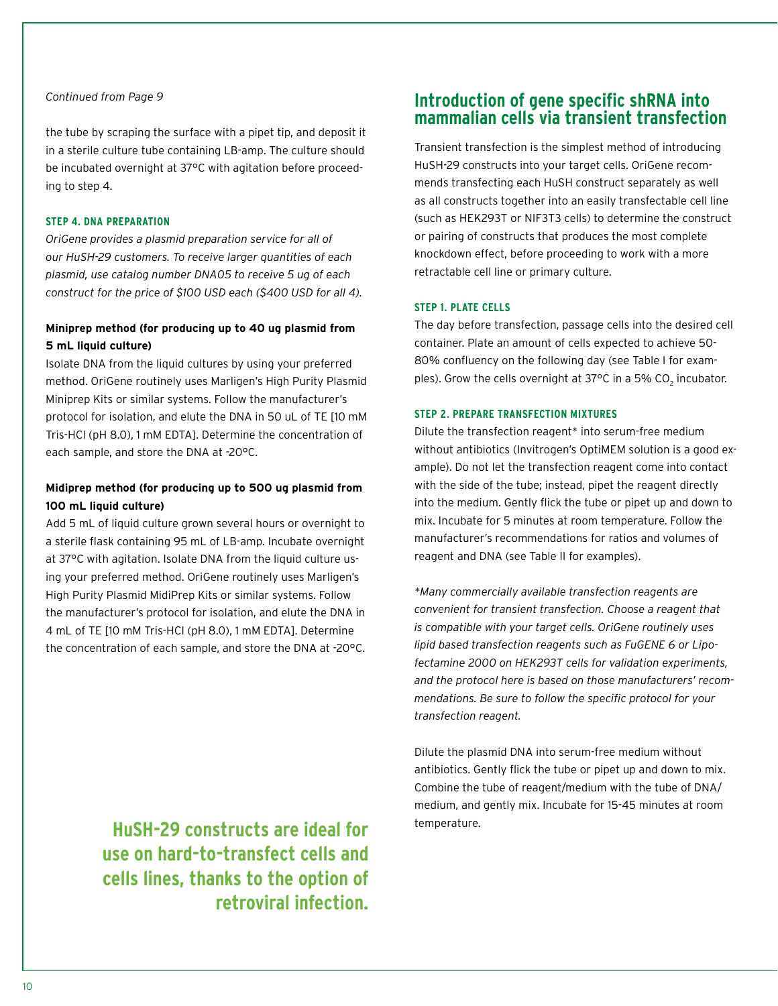## *Continued from Page 9*

the tube by scraping the surface with a pipet tip, and deposit it in a sterile culture tube containing LB-amp. The culture should be incubated overnight at 37°C with agitation before proceeding to step 4.

#### **Step 4. DNA preparation**

*OriGene provides a plasmid preparation service for all of our HuSH-29 customers. To receive larger quantities of each plasmid, use catalog number DNA05 to receive 5 ug of each construct for the price of \$100 USD each (\$400 USD for all 4).*

## **Miniprep method (for producing up to 40 ug plasmid from 5 mL liquid culture)**

Isolate DNA from the liquid cultures by using your preferred method. OriGene routinely uses Marligen's High Purity Plasmid Miniprep Kits or similar systems. Follow the manufacturer's protocol for isolation, and elute the DNA in 50 uL of TE [10 mM Tris-HCl (pH 8.0), 1 mM EDTA]. Determine the concentration of each sample, and store the DNA at -20°C.

# **Midiprep method (for producing up to 500 ug plasmid from 100 mL liquid culture)**

Add 5 mL of liquid culture grown several hours or overnight to a sterile flask containing 95 mL of LB-amp. Incubate overnight at 37°C with agitation. Isolate DNA from the liquid culture using your preferred method. OriGene routinely uses Marligen's High Purity Plasmid MidiPrep Kits or similar systems. Follow the manufacturer's protocol for isolation, and elute the DNA in 4 mL of TE [10 mM Tris-HCl (pH 8.0), 1 mM EDTA]. Determine the concentration of each sample, and store the DNA at -20°C.

> **HuSH-29 constructs are ideal for use on hard-to-transfect cells and cells lines, thanks to the option of retroviral infection.**

# **Introduction of gene specific shRNA into mammalian cells via transient transfection**

Transient transfection is the simplest method of introducing HuSH-29 constructs into your target cells. OriGene recommends transfecting each HuSH construct separately as well as all constructs together into an easily transfectable cell line (such as HEK293T or NIF3T3 cells) to determine the construct or pairing of constructs that produces the most complete knockdown effect, before proceeding to work with a more retractable cell line or primary culture.

## **Step 1. Plate cells**

The day before transfection, passage cells into the desired cell container. Plate an amount of cells expected to achieve 50- 80% confluency on the following day (see Table I for examples). Grow the cells overnight at 37°C in a 5% CO<sub>2</sub> incubator.

## **Step 2. Prepare transfection mixtures**

Dilute the transfection reagent\* into serum-free medium without antibiotics (Invitrogen's OptiMEM solution is a good example). Do not let the transfection reagent come into contact with the side of the tube; instead, pipet the reagent directly into the medium. Gently flick the tube or pipet up and down to mix. Incubate for 5 minutes at room temperature. Follow the manufacturer's recommendations for ratios and volumes of reagent and DNA (see Table II for examples).

*\*Many commercially available transfection reagents are convenient for transient transfection. Choose a reagent that is compatible with your target cells. OriGene routinely uses lipid based transfection reagents such as FuGENE 6 or Lipofectamine 2000 on HEK293T cells for validation experiments, and the protocol here is based on those manufacturers' recommendations. Be sure to follow the specific protocol for your transfection reagent.*

Dilute the plasmid DNA into serum-free medium without antibiotics. Gently flick the tube or pipet up and down to mix. Combine the tube of reagent/medium with the tube of DNA/ medium, and gently mix. Incubate for 15-45 minutes at room temperature.